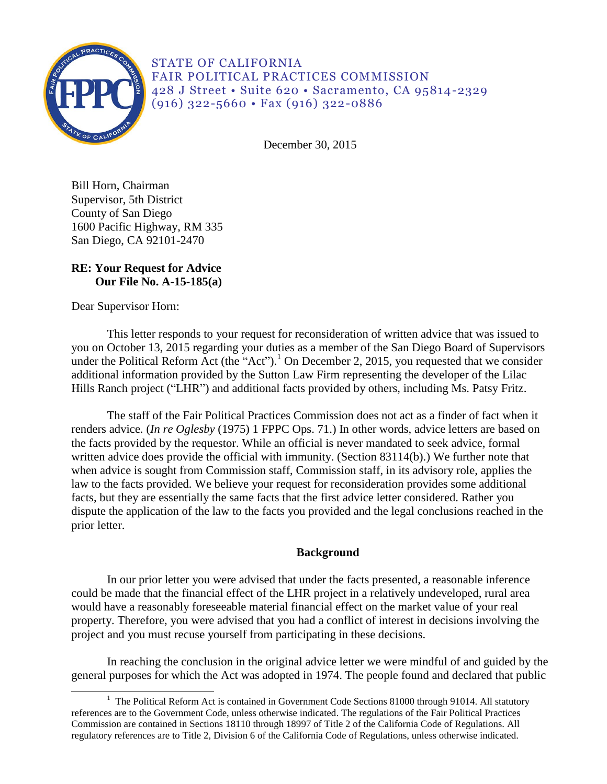

STATE OF CALIFORNIA FAIR POLITICAL PRACTICES COMMISSION 428 J Street • Suite 620 • Sacramento, CA 95814-2329 (916) 322-5660 • Fax (916) 322-0886

December 30, 2015

Bill Horn, Chairman Supervisor, 5th District County of San Diego 1600 Pacific Highway, RM 335 San Diego, CA 92101-2470

## **RE: Your Request for Advice Our File No. A-15-185(a)**

Dear Supervisor Horn:

This letter responds to your request for reconsideration of written advice that was issued to you on October 13, 2015 regarding your duties as a member of the San Diego Board of Supervisors under the Political Reform Act (the "Act").<sup>1</sup> On December 2, 2015, you requested that we consider additional information provided by the Sutton Law Firm representing the developer of the Lilac Hills Ranch project ("LHR") and additional facts provided by others, including Ms. Patsy Fritz.

The staff of the Fair Political Practices Commission does not act as a finder of fact when it renders advice. (*In re Oglesby* (1975) 1 FPPC Ops. 71.) In other words, advice letters are based on the facts provided by the requestor. While an official is never mandated to seek advice, formal written advice does provide the official with immunity. (Section 83114(b).) We further note that when advice is sought from Commission staff, Commission staff, in its advisory role, applies the law to the facts provided. We believe your request for reconsideration provides some additional facts, but they are essentially the same facts that the first advice letter considered. Rather you dispute the application of the law to the facts you provided and the legal conclusions reached in the prior letter.

## **Background**

In our prior letter you were advised that under the facts presented, a reasonable inference could be made that the financial effect of the LHR project in a relatively undeveloped, rural area would have a reasonably foreseeable material financial effect on the market value of your real property. Therefore, you were advised that you had a conflict of interest in decisions involving the project and you must recuse yourself from participating in these decisions.

In reaching the conclusion in the original advice letter we were mindful of and guided by the general purposes for which the Act was adopted in 1974. The people found and declared that public

 $\overline{\phantom{a}}$ <sup>1</sup> The Political Reform Act is contained in Government Code Sections 81000 through 91014. All statutory references are to the Government Code, unless otherwise indicated. The regulations of the Fair Political Practices Commission are contained in Sections 18110 through 18997 of Title 2 of the California Code of Regulations. All regulatory references are to Title 2, Division 6 of the California Code of Regulations, unless otherwise indicated.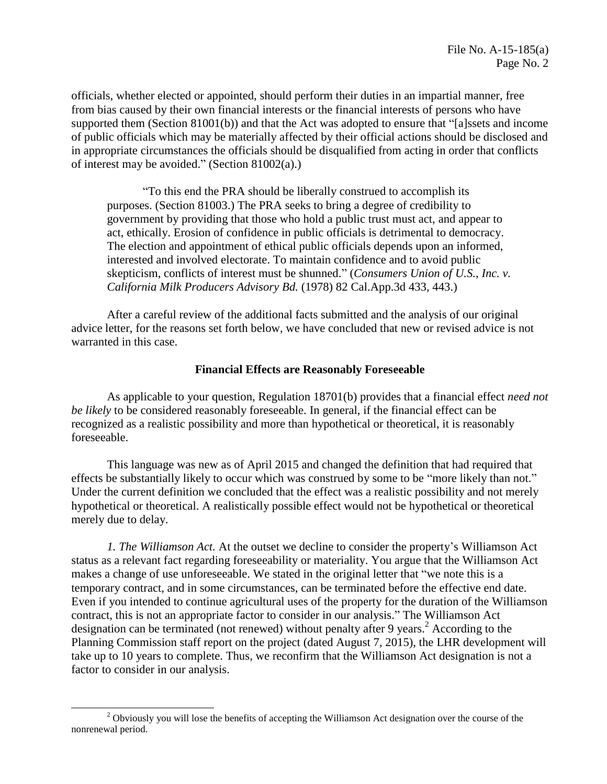officials, whether elected or appointed, should perform their duties in an impartial manner, free from bias caused by their own financial interests or the financial interests of persons who have supported them (Section 81001(b)) and that the Act was adopted to ensure that "[a]ssets and income of public officials which may be materially affected by their official actions should be disclosed and in appropriate circumstances the officials should be disqualified from acting in order that conflicts of interest may be avoided." (Section 81002(a).)

"To this end the PRA should be liberally construed to accomplish its purposes. (Section 81003.) The PRA seeks to bring a degree of credibility to government by providing that those who hold a public trust must act, and appear to act, ethically. Erosion of confidence in public officials is detrimental to democracy. The election and appointment of ethical public officials depends upon an informed, interested and involved electorate. To maintain confidence and to avoid public skepticism, conflicts of interest must be shunned." (*Consumers Union of U.S., Inc. v. California Milk Producers Advisory Bd.* (1978) 82 Cal.App.3d 433, 443.)

After a careful review of the additional facts submitted and the analysis of our original advice letter, for the reasons set forth below, we have concluded that new or revised advice is not warranted in this case.

## **Financial Effects are Reasonably Foreseeable**

As applicable to your question, Regulation 18701(b) provides that a financial effect *need not be likely* to be considered reasonably foreseeable. In general, if the financial effect can be recognized as a realistic possibility and more than hypothetical or theoretical, it is reasonably foreseeable.

This language was new as of April 2015 and changed the definition that had required that effects be substantially likely to occur which was construed by some to be "more likely than not." Under the current definition we concluded that the effect was a realistic possibility and not merely hypothetical or theoretical. A realistically possible effect would not be hypothetical or theoretical merely due to delay.

*1. The Williamson Act.* At the outset we decline to consider the property's Williamson Act status as a relevant fact regarding foreseeability or materiality. You argue that the Williamson Act makes a change of use unforeseeable. We stated in the original letter that "we note this is a temporary contract, and in some circumstances, can be terminated before the effective end date. Even if you intended to continue agricultural uses of the property for the duration of the Williamson contract, this is not an appropriate factor to consider in our analysis." The Williamson Act designation can be terminated (not renewed) without penalty after 9 years.<sup>2</sup> According to the Planning Commission staff report on the project (dated August 7, 2015), the LHR development will take up to 10 years to complete. Thus, we reconfirm that the Williamson Act designation is not a factor to consider in our analysis.

l

<sup>&</sup>lt;sup>2</sup> Obviously you will lose the benefits of accepting the Williamson Act designation over the course of the nonrenewal period.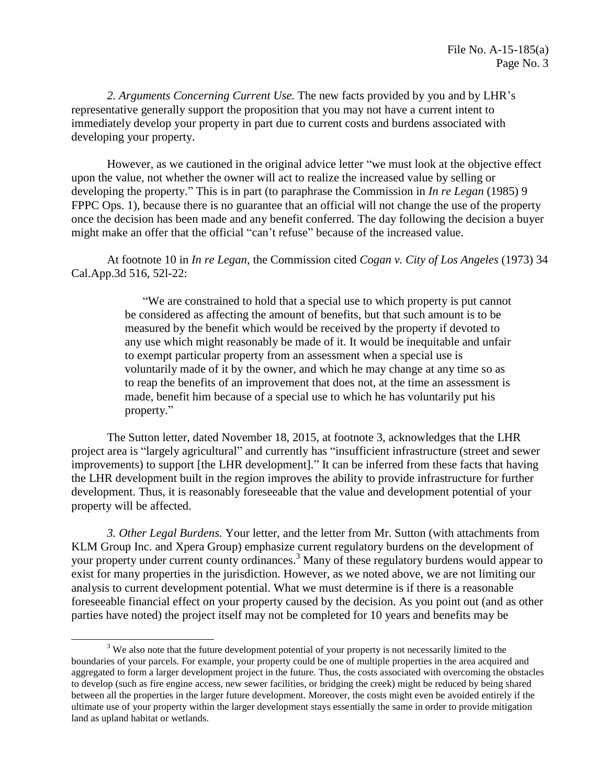*2. Arguments Concerning Current Use.* The new facts provided by you and by LHR's representative generally support the proposition that you may not have a current intent to immediately develop your property in part due to current costs and burdens associated with developing your property.

However, as we cautioned in the original advice letter "we must look at the objective effect upon the value, not whether the owner will act to realize the increased value by selling or developing the property." This is in part (to paraphrase the Commission in *In re Legan* (1985) 9 FPPC Ops. 1), because there is no guarantee that an official will not change the use of the property once the decision has been made and any benefit conferred. The day following the decision a buyer might make an offer that the official "can't refuse" because of the increased value.

At footnote 10 in *In re Legan*, the Commission cited *Cogan v. City of Los Angeles* (1973) 34 Cal.App.3d 516, 52l-22:

> "We are constrained to hold that a special use to which property is put cannot be considered as affecting the amount of benefits, but that such amount is to be measured by the benefit which would be received by the property if devoted to any use which might reasonably be made of it. It would be inequitable and unfair to exempt particular property from an assessment when a special use is voluntarily made of it by the owner, and which he may change at any time so as to reap the benefits of an improvement that does not, at the time an assessment is made, benefit him because of a special use to which he has voluntarily put his property."

The Sutton letter, dated November 18, 2015, at footnote 3, acknowledges that the LHR project area is "largely agricultural" and currently has "insufficient infrastructure (street and sewer improvements) to support [the LHR development]." It can be inferred from these facts that having the LHR development built in the region improves the ability to provide infrastructure for further development. Thus, it is reasonably foreseeable that the value and development potential of your property will be affected.

*3. Other Legal Burdens.* Your letter, and the letter from Mr. Sutton (with attachments from KLM Group Inc. and Xpera Group) emphasize current regulatory burdens on the development of your property under current county ordinances.<sup>3</sup> Many of these regulatory burdens would appear to exist for many properties in the jurisdiction. However, as we noted above, we are not limiting our analysis to current development potential. What we must determine is if there is a reasonable foreseeable financial effect on your property caused by the decision. As you point out (and as other parties have noted) the project itself may not be completed for 10 years and benefits may be

l

<sup>&</sup>lt;sup>3</sup> We also note that the future development potential of your property is not necessarily limited to the boundaries of your parcels. For example, your property could be one of multiple properties in the area acquired and aggregated to form a larger development project in the future. Thus, the costs associated with overcoming the obstacles to develop (such as fire engine access, new sewer facilities, or bridging the creek) might be reduced by being shared between all the properties in the larger future development. Moreover, the costs might even be avoided entirely if the ultimate use of your property within the larger development stays essentially the same in order to provide mitigation land as upland habitat or wetlands.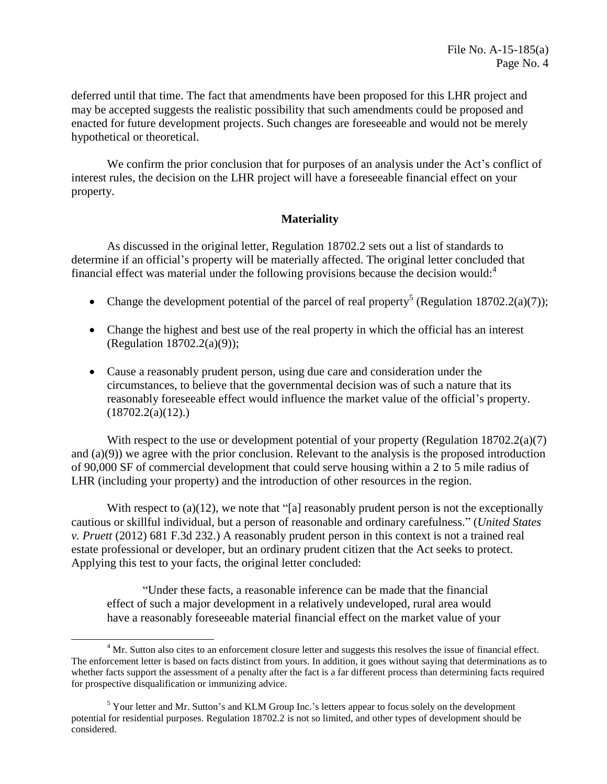deferred until that time. The fact that amendments have been proposed for this LHR project and may be accepted suggests the realistic possibility that such amendments could be proposed and enacted for future development projects. Such changes are foreseeable and would not be merely hypothetical or theoretical.

We confirm the prior conclusion that for purposes of an analysis under the Act's conflict of interest rules, the decision on the LHR project will have a foreseeable financial effect on your property.

## **Materiality**

As discussed in the original letter, Regulation 18702.2 sets out a list of standards to determine if an official's property will be materially affected. The original letter concluded that financial effect was material under the following provisions because the decision would:<sup>4</sup>

- Change the development potential of the parcel of real property<sup>5</sup> (Regulation 18702.2(a)(7));
- Change the highest and best use of the real property in which the official has an interest (Regulation 18702.2(a)(9));
- Cause a reasonably prudent person, using due care and consideration under the circumstances, to believe that the governmental decision was of such a nature that its reasonably foreseeable effect would influence the market value of the official's property.  $(18702.2(a)(12))$ .

With respect to the use or development potential of your property (Regulation 18702.2(a)(7) and (a)(9)) we agree with the prior conclusion. Relevant to the analysis is the proposed introduction of 90,000 SF of commercial development that could serve housing within a 2 to 5 mile radius of LHR (including your property) and the introduction of other resources in the region.

With respect to  $(a)(12)$ , we note that "[a] reasonably prudent person is not the exceptionally cautious or skillful individual, but a person of reasonable and ordinary carefulness." (*United States v. Pruett* (2012) 681 F.3d 232.) A reasonably prudent person in this context is not a trained real estate professional or developer, but an ordinary prudent citizen that the Act seeks to protect. Applying this test to your facts, the original letter concluded:

"Under these facts, a reasonable inference can be made that the financial effect of such a major development in a relatively undeveloped, rural area would have a reasonably foreseeable material financial effect on the market value of your

l

<sup>&</sup>lt;sup>4</sup> Mr. Sutton also cites to an enforcement closure letter and suggests this resolves the issue of financial effect. The enforcement letter is based on facts distinct from yours. In addition, it goes without saying that determinations as to whether facts support the assessment of a penalty after the fact is a far different process than determining facts required for prospective disqualification or immunizing advice.

<sup>&</sup>lt;sup>5</sup> Your letter and Mr. Sutton's and KLM Group Inc.'s letters appear to focus solely on the development potential for residential purposes. Regulation 18702.2 is not so limited, and other types of development should be considered.